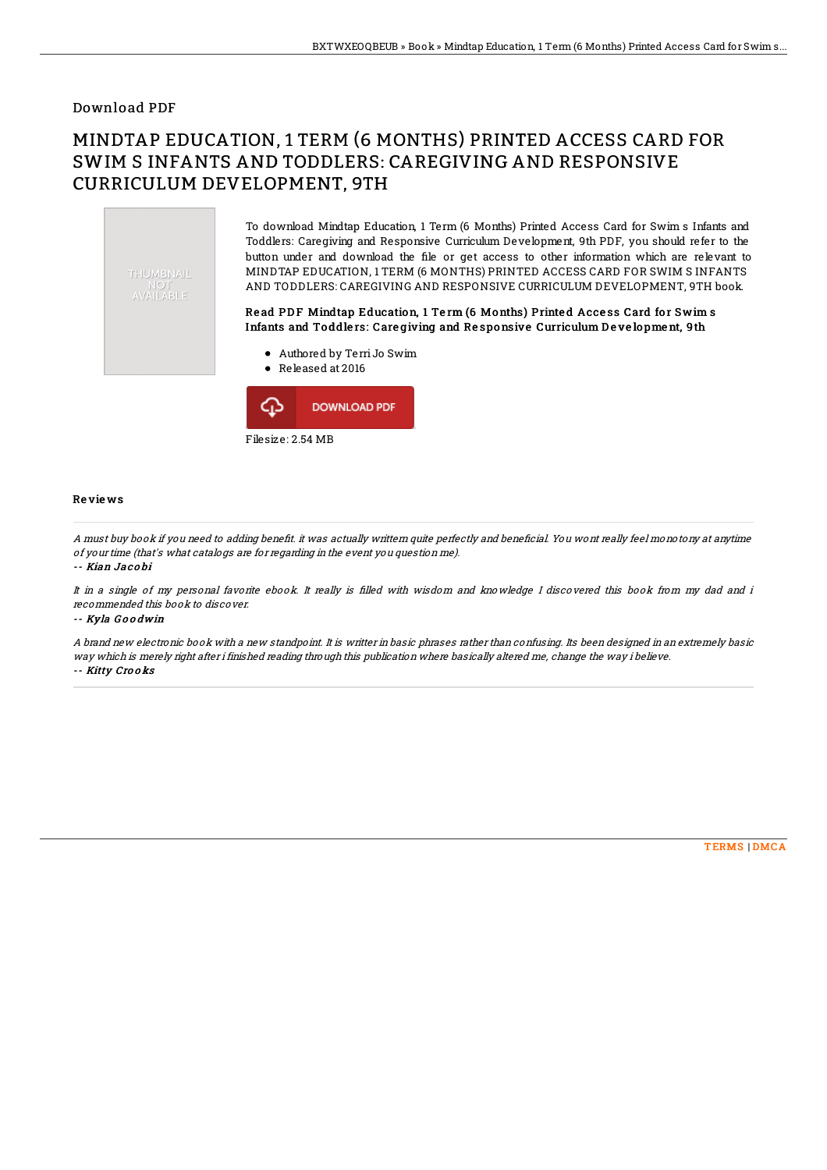### Download PDF

# MINDTAP EDUCATION, 1 TERM (6 MONTHS) PRINTED ACCESS CARD FOR SWIM S INFANTS AND TODDLERS: CAREGIVING AND RESPONSIVE CURRICULUM DEVELOPMENT, 9TH



To download Mindtap Education, 1 Term (6 Months) Printed Access Card for Swim s Infants and Toddlers: Caregiving and Responsive Curriculum Development, 9th PDF, you should refer to the button under and download the file or get access to other information which are relevant to MINDTAP EDUCATION, 1 TERM (6 MONTHS) PRINTED ACCESS CARD FOR SWIM S INFANTS AND TODDLERS: CAREGIVING AND RESPONSIVE CURRICULUM DEVELOPMENT, 9TH book.

#### Read PDF Mindtap Education, 1 Term (6 Months) Printed Access Card for Swim s Infants and Toddlers: Caregiving and Responsive Curriculum Development, 9th

- Authored by Terri Jo Swim
- Released at 2016



#### Re vie ws

A must buy book if you need to adding benefit. it was actually writtern quite perfectly and beneficial. You wont really feel monotony at anytime of your time (that's what catalogs are for regarding in the event you question me).

#### -- Kian Jac o bi

It in <sup>a</sup> single of my personal favorite ebook. It really is 2lled with wisdom and knowledge I discovered this book from my dad and i recommended this book to discover.

-- Kyla G <sup>o</sup> <sup>o</sup> dwin

A brand new electronic book with <sup>a</sup> new standpoint. It is writter in basic phrases rather than confusing. Its been designed in an extremely basic way which is merely right after i finished reading through this publication where basically altered me, change the way i believe. -- Kitty Cro <sup>o</sup> ks